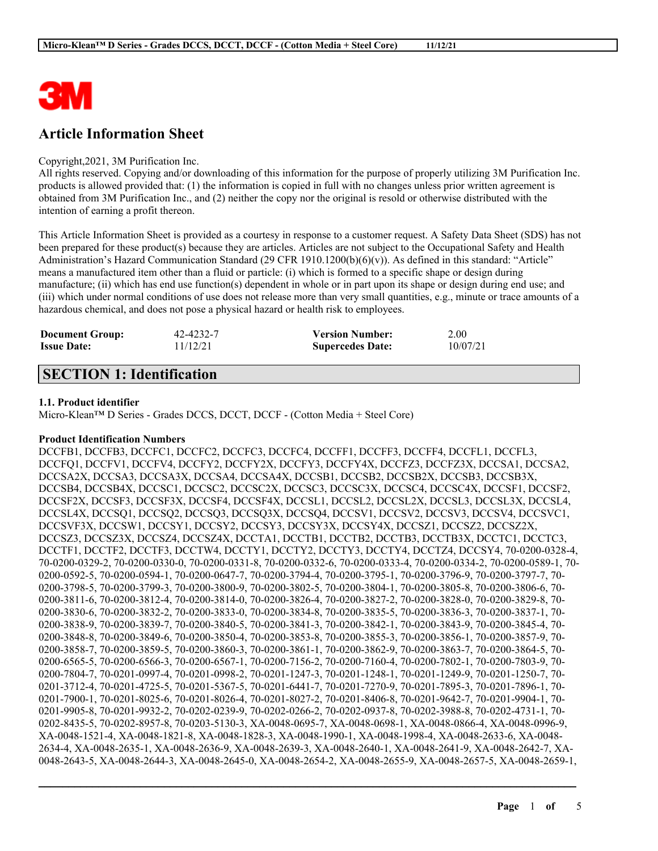

# **Article Information Sheet**

#### Copyright,2021, 3M Purification Inc.

All rights reserved. Copying and/or downloading of this information for the purpose of properly utilizing 3M Purification Inc. products is allowed provided that: (1) the information is copied in full with no changes unless prior written agreement is obtained from 3M Purification Inc., and (2) neither the copy nor the original is resold or otherwise distributed with the intention of earning a profit thereon.

This Article Information Sheet is provided as a courtesy in response to a customer request. A Safety Data Sheet (SDS) has not been prepared for these product(s) because they are articles. Articles are not subject to the Occupational Safety and Health Administration's Hazard Communication Standard (29 CFR 1910.1200(b)(6)(v)). As defined in this standard: "Article" means a manufactured item other than a fluid or particle: (i) which is formed to a specific shape or design during manufacture; (ii) which has end use function(s) dependent in whole or in part upon its shape or design during end use; and (iii) which under normal conditions of use does not release more than very small quantities, e.g., minute or trace amounts of a hazardous chemical, and does not pose a physical hazard or health risk to employees.

| <b>Document Group:</b> | 42-4232-7 | <b>Version Number:</b>  | 2.00     |
|------------------------|-----------|-------------------------|----------|
| <b>Issue Date:</b>     | 11/12/21  | <b>Supercedes Date:</b> | 10/07/21 |

# **SECTION 1: Identification**

#### **1.1. Product identifier**

Micro-Klean™ D Series - Grades DCCS, DCCT, DCCF - (Cotton Media + Steel Core)

#### **Product Identification Numbers**

DCCFB1, DCCFB3, DCCFC1, DCCFC2, DCCFC3, DCCFC4, DCCFF1, DCCFF3, DCCFF4, DCCFL1, DCCFL3, DCCFQ1, DCCFV1, DCCFV4, DCCFY2, DCCFY2X, DCCFY3, DCCFY4X, DCCFZ3, DCCFZ3X, DCCSA1, DCCSA2, DCCSA2X, DCCSA3, DCCSA3X, DCCSA4, DCCSA4X, DCCSB1, DCCSB2, DCCSB2X, DCCSB3, DCCSB3X, DCCSB4, DCCSB4X, DCCSC1, DCCSC2, DCCSC2X, DCCSC3, DCCSC3X, DCCSC4, DCCSC4X, DCCSF1, DCCSF2, DCCSF2X, DCCSF3, DCCSF3X, DCCSF4, DCCSF4X, DCCSL1, DCCSL2, DCCSL2X, DCCSL3, DCCSL3X, DCCSL4, DCCSL4X, DCCSQ1, DCCSQ2, DCCSQ3, DCCSQ3X, DCCSQ4, DCCSV1, DCCSV2, DCCSV3, DCCSV4, DCCSVC1, DCCSVF3X, DCCSW1, DCCSY1, DCCSY2, DCCSY3, DCCSY3X, DCCSY4X, DCCSZ1, DCCSZ2, DCCSZ2X, DCCSZ3, DCCSZ3X, DCCSZ4, DCCSZ4X, DCCTA1, DCCTB1, DCCTB2, DCCTB3, DCCTB3X, DCCTC1, DCCTC3, DCCTF1, DCCTF2, DCCTF3, DCCTW4, DCCTY1, DCCTY2, DCCTY3, DCCTY4, DCCTZ4, DCCSY4, 70-0200-0328-4, 70-0200-0329-2, 70-0200-0330-0, 70-0200-0331-8, 70-0200-0332-6, 70-0200-0333-4, 70-0200-0334-2, 70-0200-0589-1, 70- 0200-0592-5, 70-0200-0594-1, 70-0200-0647-7, 70-0200-3794-4, 70-0200-3795-1, 70-0200-3796-9, 70-0200-3797-7, 70- 0200-3798-5, 70-0200-3799-3, 70-0200-3800-9, 70-0200-3802-5, 70-0200-3804-1, 70-0200-3805-8, 70-0200-3806-6, 70- 0200-3811-6, 70-0200-3812-4, 70-0200-3814-0, 70-0200-3826-4, 70-0200-3827-2, 70-0200-3828-0, 70-0200-3829-8, 70- 0200-3830-6, 70-0200-3832-2, 70-0200-3833-0, 70-0200-3834-8, 70-0200-3835-5, 70-0200-3836-3, 70-0200-3837-1, 70- 0200-3838-9, 70-0200-3839-7, 70-0200-3840-5, 70-0200-3841-3, 70-0200-3842-1, 70-0200-3843-9, 70-0200-3845-4, 70- 0200-3848-8, 70-0200-3849-6, 70-0200-3850-4, 70-0200-3853-8, 70-0200-3855-3, 70-0200-3856-1, 70-0200-3857-9, 70- 0200-3858-7, 70-0200-3859-5, 70-0200-3860-3, 70-0200-3861-1, 70-0200-3862-9, 70-0200-3863-7, 70-0200-3864-5, 70- 0200-6565-5, 70-0200-6566-3, 70-0200-6567-1, 70-0200-7156-2, 70-0200-7160-4, 70-0200-7802-1, 70-0200-7803-9, 70- 0200-7804-7, 70-0201-0997-4, 70-0201-0998-2, 70-0201-1247-3, 70-0201-1248-1, 70-0201-1249-9, 70-0201-1250-7, 70- 0201-3712-4, 70-0201-4725-5, 70-0201-5367-5, 70-0201-6441-7, 70-0201-7270-9, 70-0201-7895-3, 70-0201-7896-1, 70- 0201-7900-1, 70-0201-8025-6, 70-0201-8026-4, 70-0201-8027-2, 70-0201-8406-8, 70-0201-9642-7, 70-0201-9904-1, 70- 0201-9905-8, 70-0201-9932-2, 70-0202-0239-9, 70-0202-0266-2, 70-0202-0937-8, 70-0202-3988-8, 70-0202-4731-1, 70- 0202-8435-5, 70-0202-8957-8, 70-0203-5130-3, XA-0048-0695-7, XA-0048-0698-1, XA-0048-0866-4, XA-0048-0996-9, XA-0048-1521-4, XA-0048-1821-8, XA-0048-1828-3, XA-0048-1990-1, XA-0048-1998-4, XA-0048-2633-6, XA-0048- 2634-4, XA-0048-2635-1, XA-0048-2636-9, XA-0048-2639-3, XA-0048-2640-1, XA-0048-2641-9, XA-0048-2642-7, XA-0048-2643-5, XA-0048-2644-3, XA-0048-2645-0, XA-0048-2654-2, XA-0048-2655-9, XA-0048-2657-5, XA-0048-2659-1,

 $\mathcal{L}_\mathcal{L} = \mathcal{L}_\mathcal{L} = \mathcal{L}_\mathcal{L} = \mathcal{L}_\mathcal{L} = \mathcal{L}_\mathcal{L} = \mathcal{L}_\mathcal{L} = \mathcal{L}_\mathcal{L} = \mathcal{L}_\mathcal{L} = \mathcal{L}_\mathcal{L} = \mathcal{L}_\mathcal{L} = \mathcal{L}_\mathcal{L} = \mathcal{L}_\mathcal{L} = \mathcal{L}_\mathcal{L} = \mathcal{L}_\mathcal{L} = \mathcal{L}_\mathcal{L} = \mathcal{L}_\mathcal{L} = \mathcal{L}_\mathcal{L}$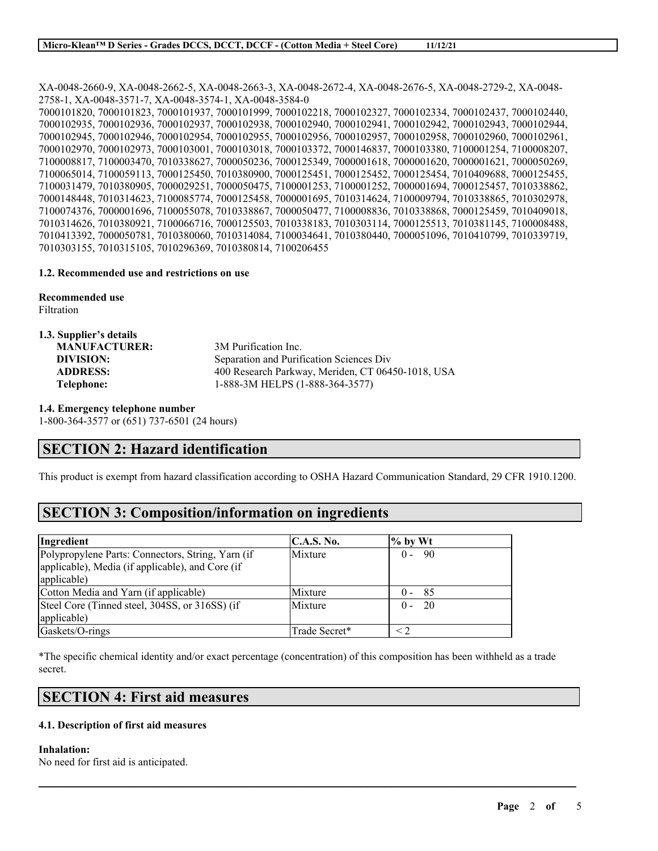XA-0048-2660-9, XA-0048-2662-5, XA-0048-2663-3, XA-0048-2672-4, XA-0048-2676-5, XA-0048-2729-2, XA-0048- 2758-1, XA-0048-3571-7, XA-0048-3574-1, XA-0048-3584-0 7000101820, 7000101823, 7000101937, 7000101999, 7000102218, 7000102327, 7000102334, 7000102437, 7000102440, 7000102935, 7000102936, 7000102937, 7000102938, 7000102940, 7000102941, 7000102942, 7000102943, 7000102944, 7000102945, 7000102946, 7000102954, 7000102955, 7000102956, 7000102957, 7000102958, 7000102960, 7000102961, 7000102970, 7000102973, 7000103001, 7000103018, 7000103372, 7000146837, 7000103380, 7100001254, 7100008207, 7100008817, 7100003470, 7010338627, 7000050236, 7000125349, 7000001618, 7000001620, 7000001621, 7000050269, 7100065014, 7100059113, 7000125450, 7010380900, 7000125451, 7000125452, 7000125454, 7010409688, 7000125455, 7100031479, 7010380905, 7000029251, 7000050475, 7100001253, 7100001252, 7000001694, 7000125457, 7010338862, 7000148448, 7010314623, 7100085774, 7000125458, 7000001695, 7010314624, 7100009794, 7010338865, 7010302978, 7100074376, 7000001696, 7100055078, 7010338867, 7000050477, 7100008836, 7010338868, 7000125459, 7010409018, 7010314626, 7010380921, 7100066716, 7000125503, 7010338183, 7010303114, 7000125513, 7010381145, 7100008488, 7010413392, 7000050781, 7010380060, 7010314084, 7100034641, 7010380440, 7000051096, 7010410799, 7010339719, 7010303155, 7010315105, 7010296369, 7010380814, 7100206455

#### **1.2. Recommended use and restrictions on use**

**Recommended use**

**1.3. Supplier's details**

Filtration

| 1.3. Supplice S actails |                                                   |
|-------------------------|---------------------------------------------------|
| <b>MANUFACTURER:</b>    | 3M Purification Inc.                              |
| DIVISION:               | Separation and Purification Sciences Div          |
| <b>ADDRESS:</b>         | 400 Research Parkway, Meriden, CT 06450-1018, USA |
| Telephone:              | 1-888-3M HELPS (1-888-364-3577)                   |
|                         |                                                   |

**1.4. Emergency telephone number**

1-800-364-3577 or (651) 737-6501 (24 hours)

### **SECTION 2: Hazard identification**

This product is exempt from hazard classification according to OSHA Hazard Communication Standard, 29 CFR 1910.1200.

## **SECTION 3: Composition/information on ingredients**

| Ingredient                                                                                                           | C.A.S. No.    | $\%$ by Wt               |
|----------------------------------------------------------------------------------------------------------------------|---------------|--------------------------|
| Polypropylene Parts: Connectors, String, Yarn (if<br>applicable), Media (if applicable), and Core (if<br>applicable) | Mixture       | - 90<br>$0 -$            |
| Cotton Media and Yarn (if applicable)                                                                                | Mixture       | - 85<br>$(1 -$           |
| Steel Core (Tinned steel, 304SS, or 316SS) (if<br>applicable)                                                        | Mixture       | $\overline{20}$<br>$0 -$ |
| Gaskets/O-rings                                                                                                      | Trade Secret* |                          |

\*The specific chemical identity and/or exact percentage (concentration) of this composition has been withheld as a trade secret.

 $\mathcal{L}_\mathcal{L} = \mathcal{L}_\mathcal{L} = \mathcal{L}_\mathcal{L} = \mathcal{L}_\mathcal{L} = \mathcal{L}_\mathcal{L} = \mathcal{L}_\mathcal{L} = \mathcal{L}_\mathcal{L} = \mathcal{L}_\mathcal{L} = \mathcal{L}_\mathcal{L} = \mathcal{L}_\mathcal{L} = \mathcal{L}_\mathcal{L} = \mathcal{L}_\mathcal{L} = \mathcal{L}_\mathcal{L} = \mathcal{L}_\mathcal{L} = \mathcal{L}_\mathcal{L} = \mathcal{L}_\mathcal{L} = \mathcal{L}_\mathcal{L}$ 

### **SECTION 4: First aid measures**

#### **4.1. Description of first aid measures**

#### **Inhalation:**

No need for first aid is anticipated.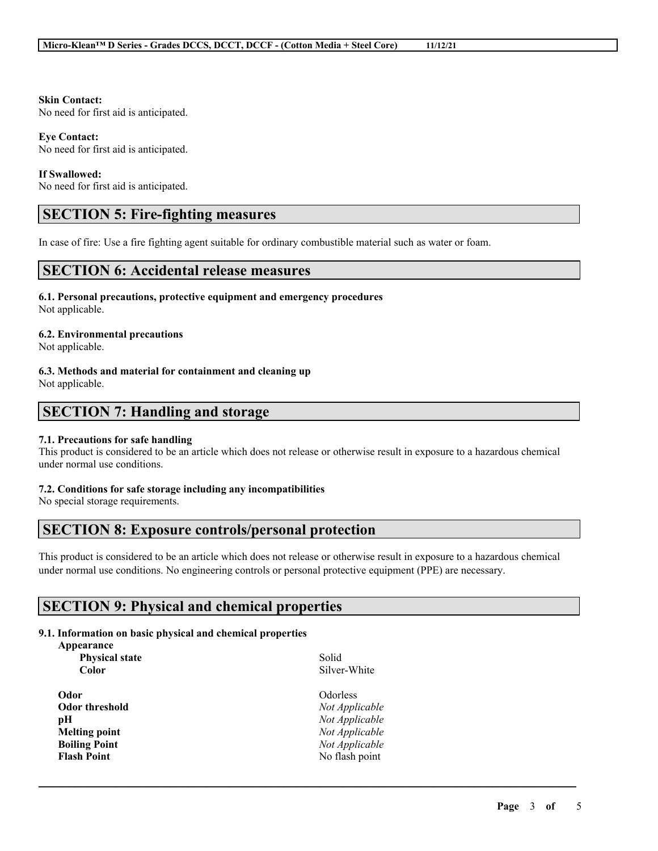**Skin Contact:**

No need for first aid is anticipated.

**Eye Contact:** No need for first aid is anticipated.

#### **If Swallowed:**

No need for first aid is anticipated.

## **SECTION 5: Fire-fighting measures**

In case of fire: Use a fire fighting agent suitable for ordinary combustible material such as water or foam.

## **SECTION 6: Accidental release measures**

**6.1. Personal precautions, protective equipment and emergency procedures** Not applicable.

#### **6.2. Environmental precautions**

Not applicable.

#### **6.3. Methods and material for containment and cleaning up**

Not applicable.

## **SECTION 7: Handling and storage**

#### **7.1. Precautions for safe handling**

This product is considered to be an article which does not release or otherwise result in exposure to a hazardous chemical under normal use conditions.

#### **7.2. Conditions for safe storage including any incompatibilities**

No special storage requirements.

## **SECTION 8: Exposure controls/personal protection**

This product is considered to be an article which does not release or otherwise result in exposure to a hazardous chemical under normal use conditions. No engineering controls or personal protective equipment (PPE) are necessary.

 $\mathcal{L}_\mathcal{L} = \mathcal{L}_\mathcal{L} = \mathcal{L}_\mathcal{L} = \mathcal{L}_\mathcal{L} = \mathcal{L}_\mathcal{L} = \mathcal{L}_\mathcal{L} = \mathcal{L}_\mathcal{L} = \mathcal{L}_\mathcal{L} = \mathcal{L}_\mathcal{L} = \mathcal{L}_\mathcal{L} = \mathcal{L}_\mathcal{L} = \mathcal{L}_\mathcal{L} = \mathcal{L}_\mathcal{L} = \mathcal{L}_\mathcal{L} = \mathcal{L}_\mathcal{L} = \mathcal{L}_\mathcal{L} = \mathcal{L}_\mathcal{L}$ 

## **SECTION 9: Physical and chemical properties**

### **9.1. Information on basic physical and chemical properties**

| Appearance            |                 |
|-----------------------|-----------------|
| <b>Physical state</b> | Solid           |
| Color                 | Silver-White    |
| Odor                  | <b>Odorless</b> |
| Odor threshold        | Not Applicable  |
| pН                    | Not Applicable  |
| Melting point         | Not Applicable  |
| <b>Boiling Point</b>  | Not Applicable  |
| <b>Flash Point</b>    | No flash point  |
|                       |                 |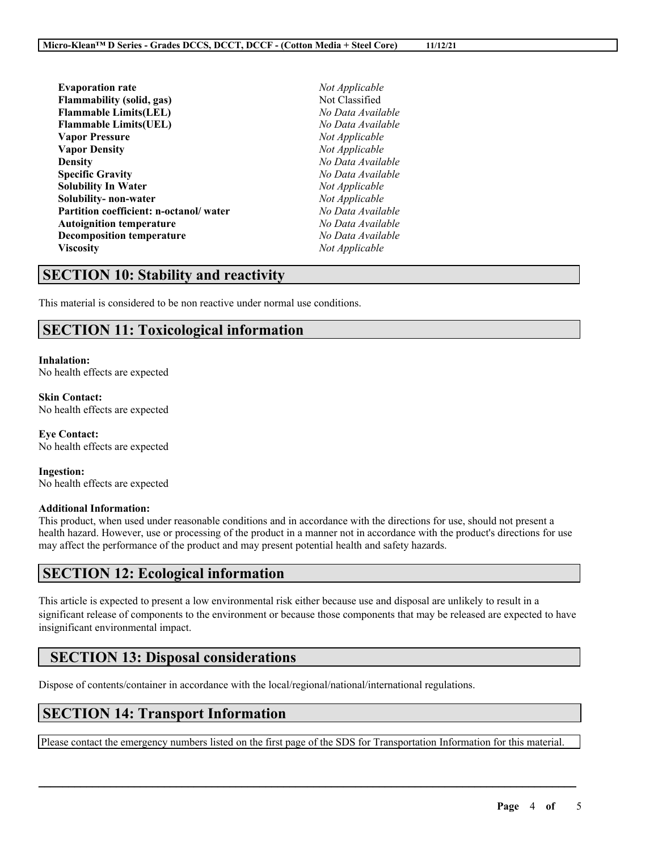| <b>Evaporation rate</b>                |
|----------------------------------------|
| Flammability (solid, gas)              |
| <b>Flammable Limits(LEL)</b>           |
| <b>Flammable Limits(UEL)</b>           |
| <b>Vapor Pressure</b>                  |
| <b>Vapor Density</b>                   |
| <b>Density</b>                         |
| <b>Specific Gravity</b>                |
| Solubility In Water                    |
| Solubility- non-water                  |
| Partition coefficient: n-octanol/water |
| <b>Autoignition temperature</b>        |
| <b>Decomposition temperature</b>       |
| Viscosity                              |

**Evaporation rate** *Not Applicable* **Flammability (solid, gas)** Not Classified **Flammable Limits(LEL)** *No Data Available* **Flammable Limits(UEL)** *No Data Available*  $Not$ *Applicable*  $Not$  *Applicable* **Density** *No Data Available* **Specific Gravity** *No Data Available*  $Not Appliedble$  $Not Appliedble$ **Partition coefficient: n-octanol/ water** *No Data Available*  $No Data Available$ **Decomposition temperature** *No Data Available* **Viscosity** *Not Applicable*

# **SECTION 10: Stability and reactivity**

This material is considered to be non reactive under normal use conditions.

# **SECTION 11: Toxicological information**

## **Inhalation:**

No health effects are expected

#### **Skin Contact:** No health effects are expected

**Eye Contact:** No health effects are expected

**Ingestion:** No health effects are expected

#### **Additional Information:**

This product, when used under reasonable conditions and in accordance with the directions for use, should not present a health hazard. However, use or processing of the product in a manner not in accordance with the product's directions for use may affect the performance of the product and may present potential health and safety hazards.

## **SECTION 12: Ecological information**

This article is expected to present a low environmental risk either because use and disposal are unlikely to result in a significant release of components to the environment or because those components that may be released are expected to have insignificant environmental impact.

# **SECTION 13: Disposal considerations**

Dispose of contents/container in accordance with the local/regional/national/international regulations.

# **SECTION 14: Transport Information**

Please contact the emergency numbers listed on the first page of the SDS for Transportation Information for this material.

 $\mathcal{L}_\mathcal{L} = \mathcal{L}_\mathcal{L} = \mathcal{L}_\mathcal{L} = \mathcal{L}_\mathcal{L} = \mathcal{L}_\mathcal{L} = \mathcal{L}_\mathcal{L} = \mathcal{L}_\mathcal{L} = \mathcal{L}_\mathcal{L} = \mathcal{L}_\mathcal{L} = \mathcal{L}_\mathcal{L} = \mathcal{L}_\mathcal{L} = \mathcal{L}_\mathcal{L} = \mathcal{L}_\mathcal{L} = \mathcal{L}_\mathcal{L} = \mathcal{L}_\mathcal{L} = \mathcal{L}_\mathcal{L} = \mathcal{L}_\mathcal{L}$